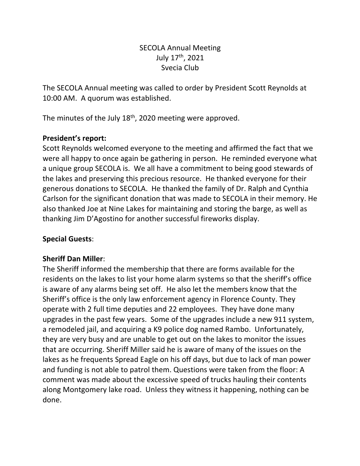# SECOLA Annual Meeting July 17th, 2021 Svecia Club

The SECOLA Annual meeting was called to order by President Scott Reynolds at 10:00 AM. A quorum was established.

The minutes of the July 18<sup>th</sup>, 2020 meeting were approved.

## **President's report:**

Scott Reynolds welcomed everyone to the meeting and affirmed the fact that we were all happy to once again be gathering in person. He reminded everyone what a unique group SECOLA is. We all have a commitment to being good stewards of the lakes and preserving this precious resource. He thanked everyone for their generous donations to SECOLA. He thanked the family of Dr. Ralph and Cynthia Carlson for the significant donation that was made to SECOLA in their memory. He also thanked Joe at Nine Lakes for maintaining and storing the barge, as well as thanking Jim D'Agostino for another successful fireworks display.

## **Special Guests**:

#### **Sheriff Dan Miller**:

The Sheriff informed the membership that there are forms available for the residents on the lakes to list your home alarm systems so that the sheriff's office is aware of any alarms being set off. He also let the members know that the Sheriff's office is the only law enforcement agency in Florence County. They operate with 2 full time deputies and 22 employees. They have done many upgrades in the past few years. Some of the upgrades include a new 911 system, a remodeled jail, and acquiring a K9 police dog named Rambo. Unfortunately, they are very busy and are unable to get out on the lakes to monitor the issues that are occurring. Sheriff Miller said he is aware of many of the issues on the lakes as he frequents Spread Eagle on his off days, but due to lack of man power and funding is not able to patrol them. Questions were taken from the floor: A comment was made about the excessive speed of trucks hauling their contents along Montgomery lake road. Unless they witness it happening, nothing can be done.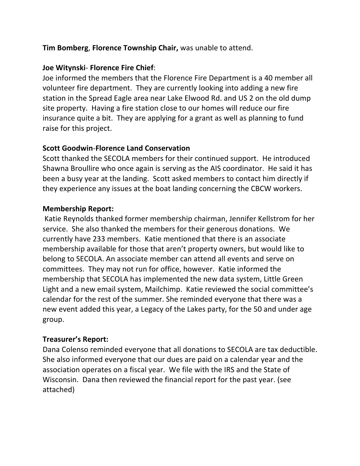## **Tim Bomberg**, **Florence Township Chair,** was unable to attend.

### **Joe Witynski**- **Florence Fire Chief**:

Joe informed the members that the Florence Fire Department is a 40 member all volunteer fire department. They are currently looking into adding a new fire station in the Spread Eagle area near Lake Elwood Rd. and US 2 on the old dump site property. Having a fire station close to our homes will reduce our fire insurance quite a bit. They are applying for a grant as well as planning to fund raise for this project.

#### **Scott Goodwin**-**Florence Land Conservation**

Scott thanked the SECOLA members for their continued support. He introduced Shawna Broullire who once again is serving as the AIS coordinator. He said it has been a busy year at the landing. Scott asked members to contact him directly if they experience any issues at the boat landing concerning the CBCW workers.

#### **Membership Report:**

Katie Reynolds thanked former membership chairman, Jennifer Kellstrom for her service. She also thanked the members for their generous donations. We currently have 233 members. Katie mentioned that there is an associate membership available for those that aren't property owners, but would like to belong to SECOLA. An associate member can attend all events and serve on committees. They may not run for office, however. Katie informed the membership that SECOLA has implemented the new data system, Little Green Light and a new email system, Mailchimp. Katie reviewed the social committee's calendar for the rest of the summer. She reminded everyone that there was a new event added this year, a Legacy of the Lakes party, for the 50 and under age group.

#### **Treasurer's Report:**

Dana Colenso reminded everyone that all donations to SECOLA are tax deductible. She also informed everyone that our dues are paid on a calendar year and the association operates on a fiscal year. We file with the IRS and the State of Wisconsin. Dana then reviewed the financial report for the past year. (see attached)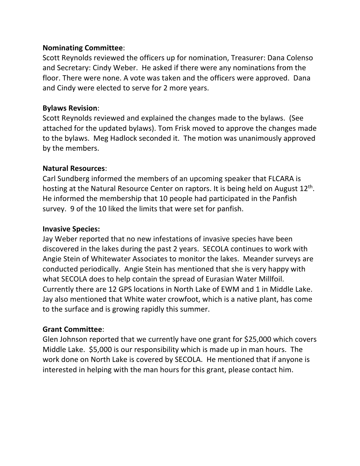#### **Nominating Committee**:

Scott Reynolds reviewed the officers up for nomination, Treasurer: Dana Colenso and Secretary: Cindy Weber. He asked if there were any nominations from the floor. There were none. A vote was taken and the officers were approved. Dana and Cindy were elected to serve for 2 more years.

#### **Bylaws Revision**:

Scott Reynolds reviewed and explained the changes made to the bylaws. (See attached for the updated bylaws). Tom Frisk moved to approve the changes made to the bylaws. Meg Hadlock seconded it. The motion was unanimously approved by the members.

#### **Natural Resources**:

Carl Sundberg informed the members of an upcoming speaker that FLCARA is hosting at the Natural Resource Center on raptors. It is being held on August  $12<sup>th</sup>$ . He informed the membership that 10 people had participated in the Panfish survey. 9 of the 10 liked the limits that were set for panfish.

#### **Invasive Species:**

Jay Weber reported that no new infestations of invasive species have been discovered in the lakes during the past 2 years. SECOLA continues to work with Angie Stein of Whitewater Associates to monitor the lakes. Meander surveys are conducted periodically. Angie Stein has mentioned that she is very happy with what SECOLA does to help contain the spread of Eurasian Water Millfoil. Currently there are 12 GPS locations in North Lake of EWM and 1 in Middle Lake. Jay also mentioned that White water crowfoot, which is a native plant, has come to the surface and is growing rapidly this summer.

#### **Grant Committee**:

Glen Johnson reported that we currently have one grant for \$25,000 which covers Middle Lake. \$5,000 is our responsibility which is made up in man hours. The work done on North Lake is covered by SECOLA. He mentioned that if anyone is interested in helping with the man hours for this grant, please contact him.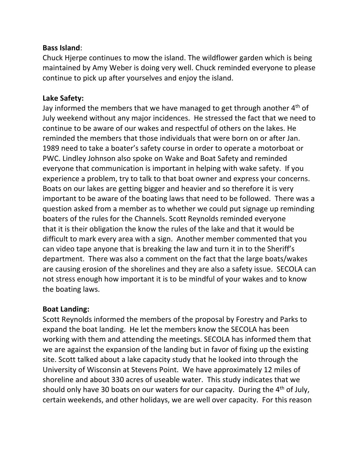#### **Bass Island**:

Chuck Hjerpe continues to mow the island. The wildflower garden which is being maintained by Amy Weber is doing very well. Chuck reminded everyone to please continue to pick up after yourselves and enjoy the island.

#### **Lake Safety:**

Jay informed the members that we have managed to get through another  $4<sup>th</sup>$  of July weekend without any major incidences. He stressed the fact that we need to continue to be aware of our wakes and respectful of others on the lakes. He reminded the members that those individuals that were born on or after Jan. 1989 need to take a boater's safety course in order to operate a motorboat or PWC. Lindley Johnson also spoke on Wake and Boat Safety and reminded everyone that communication is important in helping with wake safety. If you experience a problem, try to talk to that boat owner and express your concerns. Boats on our lakes are getting bigger and heavier and so therefore it is very important to be aware of the boating laws that need to be followed. There was a question asked from a member as to whether we could put signage up reminding boaters of the rules for the Channels. Scott Reynolds reminded everyone that it is their obligation the know the rules of the lake and that it would be difficult to mark every area with a sign. Another member commented that you can video tape anyone that is breaking the law and turn it in to the Sheriff's department. There was also a comment on the fact that the large boats/wakes are causing erosion of the shorelines and they are also a safety issue. SECOLA can not stress enough how important it is to be mindful of your wakes and to know the boating laws.

#### **Boat Landing:**

Scott Reynolds informed the members of the proposal by Forestry and Parks to expand the boat landing. He let the members know the SECOLA has been working with them and attending the meetings. SECOLA has informed them that we are against the expansion of the landing but in favor of fixing up the existing site. Scott talked about a lake capacity study that he looked into through the University of Wisconsin at Stevens Point. We have approximately 12 miles of shoreline and about 330 acres of useable water. This study indicates that we should only have 30 boats on our waters for our capacity. During the 4<sup>th</sup> of July, certain weekends, and other holidays, we are well over capacity. For this reason